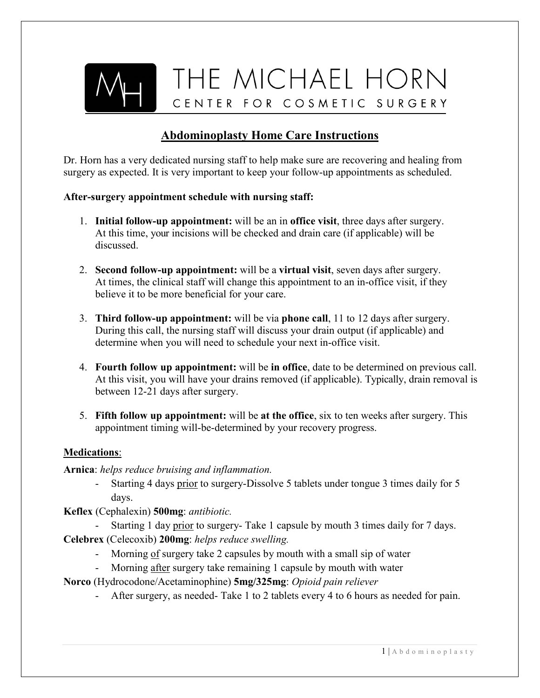

## **Abdominoplasty Home Care Instructions**

Dr. Horn has a very dedicated nursing staff to help make sure are recovering and healing from surgery as expected. It is very important to keep your follow-up appointments as scheduled.

#### **After-surgery appointment schedule with nursing staff:**

- 1. **Initial follow-up appointment:** will be an in **office visit**, three days after surgery. At this time, your incisions will be checked and drain care (if applicable) will be discussed.
- 2. **Second follow-up appointment:** will be a **virtual visit**, seven days after surgery. At times, the clinical staff will change this appointment to an in-office visit, if they believe it to be more beneficial for your care.
- 3. **Third follow-up appointment:** will be via **phone call**, 11 to 12 days after surgery. During this call, the nursing staff will discuss your drain output (if applicable) and determine when you will need to schedule your next in-office visit.
- 4. **Fourth follow up appointment:** will be **in office**, date to be determined on previous call. At this visit, you will have your drains removed (if applicable). Typically, drain removal is between 12-21 days after surgery.
- 5. **Fifth follow up appointment:** will be **at the office**, six to ten weeks after surgery. This appointment timing will-be-determined by your recovery progress.

#### **Medications**:

**Arnica**: *helps reduce bruising and inflammation.*

- Starting 4 days prior to surgery-Dissolve 5 tablets under tongue 3 times daily for 5 days.
- **Keflex** (Cephalexin) **500mg**: *antibiotic.*
	- Starting 1 day prior to surgery- Take 1 capsule by mouth 3 times daily for 7 days.
- **Celebrex** (Celecoxib) **200mg**: *helps reduce swelling.*
	- Morning of surgery take 2 capsules by mouth with a small sip of water
	- Morning after surgery take remaining 1 capsule by mouth with water
- **Norco** (Hydrocodone/Acetaminophine) **5mg/325mg**: *Opioid pain reliever*
	- After surgery, as needed- Take 1 to 2 tablets every 4 to 6 hours as needed for pain.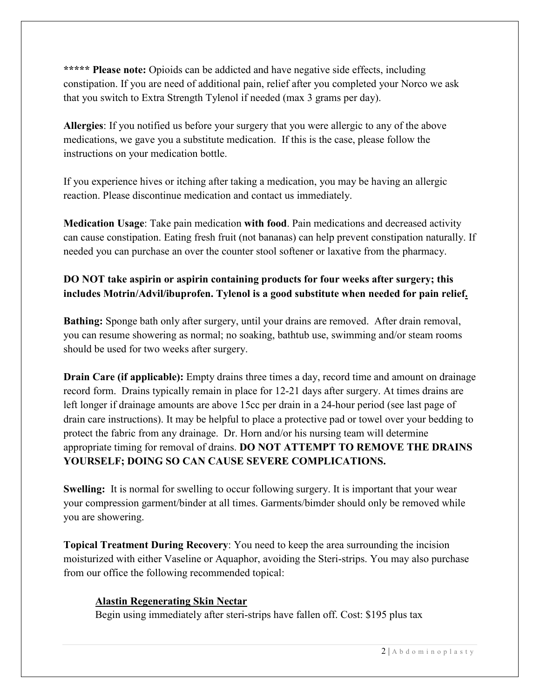**\*\*\*\*\* Please note:** Opioids can be addicted and have negative side effects, including constipation. If you are need of additional pain, relief after you completed your Norco we ask that you switch to Extra Strength Tylenol if needed (max 3 grams per day).

**Allergies**: If you notified us before your surgery that you were allergic to any of the above medications, we gave you a substitute medication. If this is the case, please follow the instructions on your medication bottle.

If you experience hives or itching after taking a medication, you may be having an allergic reaction. Please discontinue medication and contact us immediately.

**Medication Usage**: Take pain medication **with food**. Pain medications and decreased activity can cause constipation. Eating fresh fruit (not bananas) can help prevent constipation naturally. If needed you can purchase an over the counter stool softener or laxative from the pharmacy.

### **DO NOT take aspirin or aspirin containing products for four weeks after surgery; this includes Motrin/Advil/ibuprofen. Tylenol is a good substitute when needed for pain relief.**

**Bathing:** Sponge bath only after surgery, until your drains are removed. After drain removal, you can resume showering as normal; no soaking, bathtub use, swimming and/or steam rooms should be used for two weeks after surgery.

**Drain Care (if applicable):** Empty drains three times a day, record time and amount on drainage record form. Drains typically remain in place for 12-21 days after surgery. At times drains are left longer if drainage amounts are above 15cc per drain in a 24-hour period (see last page of drain care instructions). It may be helpful to place a protective pad or towel over your bedding to protect the fabric from any drainage. Dr. Horn and/or his nursing team will determine appropriate timing for removal of drains. **DO NOT ATTEMPT TO REMOVE THE DRAINS YOURSELF; DOING SO CAN CAUSE SEVERE COMPLICATIONS.**

**Swelling:** It is normal for swelling to occur following surgery. It is important that your wear your compression garment/binder at all times. Garments/bimder should only be removed while you are showering.

**Topical Treatment During Recovery**: You need to keep the area surrounding the incision moisturized with either Vaseline or Aquaphor, avoiding the Steri-strips. You may also purchase from our office the following recommended topical:

#### **Alastin Regenerating Skin Nectar**

Begin using immediately after steri-strips have fallen off. Cost: \$195 plus tax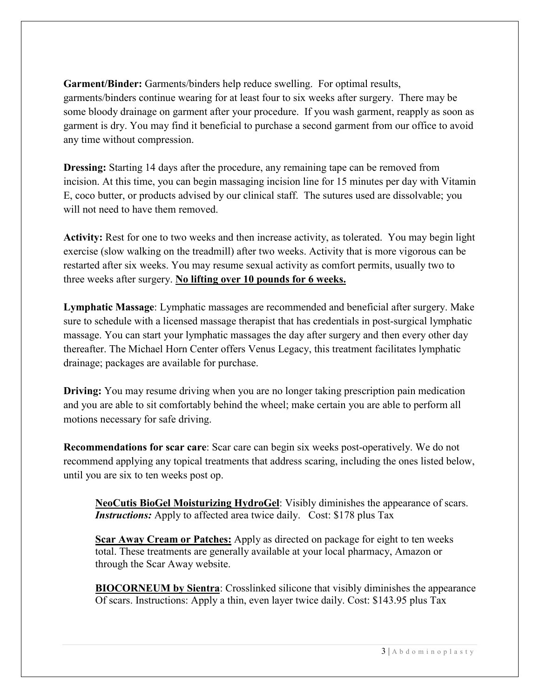**Garment/Binder:** Garments/binders help reduce swelling. For optimal results, garments/binders continue wearing for at least four to six weeks after surgery. There may be some bloody drainage on garment after your procedure. If you wash garment, reapply as soon as garment is dry. You may find it beneficial to purchase a second garment from our office to avoid any time without compression.

**Dressing:** Starting 14 days after the procedure, any remaining tape can be removed from incision. At this time, you can begin massaging incision line for 15 minutes per day with Vitamin E, coco butter, or products advised by our clinical staff. The sutures used are dissolvable; you will not need to have them removed.

**Activity:** Rest for one to two weeks and then increase activity, as tolerated. You may begin light exercise (slow walking on the treadmill) after two weeks. Activity that is more vigorous can be restarted after six weeks. You may resume sexual activity as comfort permits, usually two to three weeks after surgery. **No lifting over 10 pounds for 6 weeks.**

**Lymphatic Massage**: Lymphatic massages are recommended and beneficial after surgery. Make sure to schedule with a licensed massage therapist that has credentials in post-surgical lymphatic massage. You can start your lymphatic massages the day after surgery and then every other day thereafter. The Michael Horn Center offers Venus Legacy, this treatment facilitates lymphatic drainage; packages are available for purchase.

**Driving:** You may resume driving when you are no longer taking prescription pain medication and you are able to sit comfortably behind the wheel; make certain you are able to perform all motions necessary for safe driving.

**Recommendations for scar care**: Scar care can begin six weeks post-operatively. We do not recommend applying any topical treatments that address scaring, including the ones listed below, until you are six to ten weeks post op.

**NeoCutis BioGel Moisturizing HydroGel**: Visibly diminishes the appearance of scars. *Instructions:* Apply to affected area twice daily. Cost: \$178 plus Tax

**Scar Away Cream or Patches:** Apply as directed on package for eight to ten weeks total. These treatments are generally available at your local pharmacy, Amazon or through the Scar Away website.

**BIOCORNEUM by Sientra**: Crosslinked silicone that visibly diminishes the appearance Of scars. Instructions: Apply a thin, even layer twice daily. Cost: \$143.95 plus Tax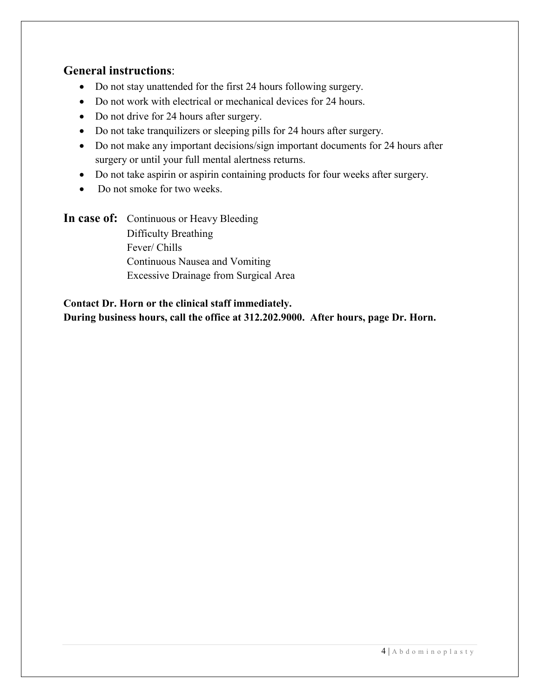### **General instructions**:

- Do not stay unattended for the first 24 hours following surgery.
- Do not work with electrical or mechanical devices for 24 hours.
- Do not drive for 24 hours after surgery.
- Do not take tranquilizers or sleeping pills for 24 hours after surgery.
- Do not make any important decisions/sign important documents for 24 hours after surgery or until your full mental alertness returns.
- Do not take aspirin or aspirin containing products for four weeks after surgery.
- Do not smoke for two weeks.

In case of: Continuous or Heavy Bleeding Difficulty Breathing Fever/ Chills Continuous Nausea and Vomiting Excessive Drainage from Surgical Area

### **Contact Dr. Horn or the clinical staff immediately. During business hours, call the office at 312.202.9000. After hours, page Dr. Horn.**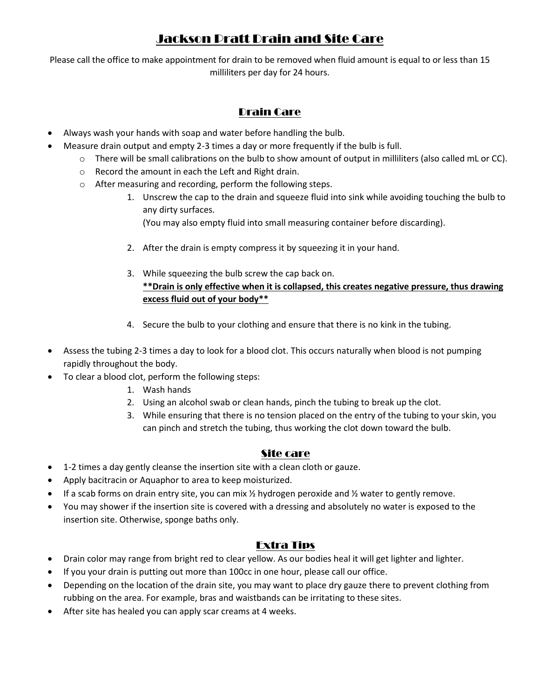# Jackson Pratt Drain and Site Care

Please call the office to make appointment for drain to be removed when fluid amount is equal to or less than 15 milliliters per day for 24 hours.

### Drain Care

- Always wash your hands with soap and water before handling the bulb.
- Measure drain output and empty 2-3 times a day or more frequently if the bulb is full.
	- $\circ$  There will be small calibrations on the bulb to show amount of output in milliliters (also called mL or CC).
	- o Record the amount in each the Left and Right drain.
	- o After measuring and recording, perform the following steps.
		- 1. Unscrew the cap to the drain and squeeze fluid into sink while avoiding touching the bulb to any dirty surfaces.
			- (You may also empty fluid into small measuring container before discarding).
		- 2. After the drain is empty compress it by squeezing it in your hand.
		- 3. While squeezing the bulb screw the cap back on. **\*\*Drain is only effective when it is collapsed, this creates negative pressure, thus drawing excess fluid out of your body\*\***
		- 4. Secure the bulb to your clothing and ensure that there is no kink in the tubing.
- Assess the tubing 2-3 times a day to look for a blood clot. This occurs naturally when blood is not pumping rapidly throughout the body.
- To clear a blood clot, perform the following steps:
	- 1. Wash hands
	- 2. Using an alcohol swab or clean hands, pinch the tubing to break up the clot.
	- 3. While ensuring that there is no tension placed on the entry of the tubing to your skin, you can pinch and stretch the tubing, thus working the clot down toward the bulb.

#### Site care

- 1-2 times a day gently cleanse the insertion site with a clean cloth or gauze.
- Apply bacitracin or Aquaphor to area to keep moisturized.
- If a scab forms on drain entry site, you can mix  $\frac{1}{2}$  hydrogen peroxide and  $\frac{1}{2}$  water to gently remove.
- You may shower if the insertion site is covered with a dressing and absolutely no water is exposed to the insertion site. Otherwise, sponge baths only.

#### Extra Tips

- Drain color may range from bright red to clear yellow. As our bodies heal it will get lighter and lighter.
- If you your drain is putting out more than 100cc in one hour, please call our office.
- Depending on the location of the drain site, you may want to place dry gauze there to prevent clothing from rubbing on the area. For example, bras and waistbands can be irritating to these sites.
- After site has healed you can apply scar creams at 4 weeks.